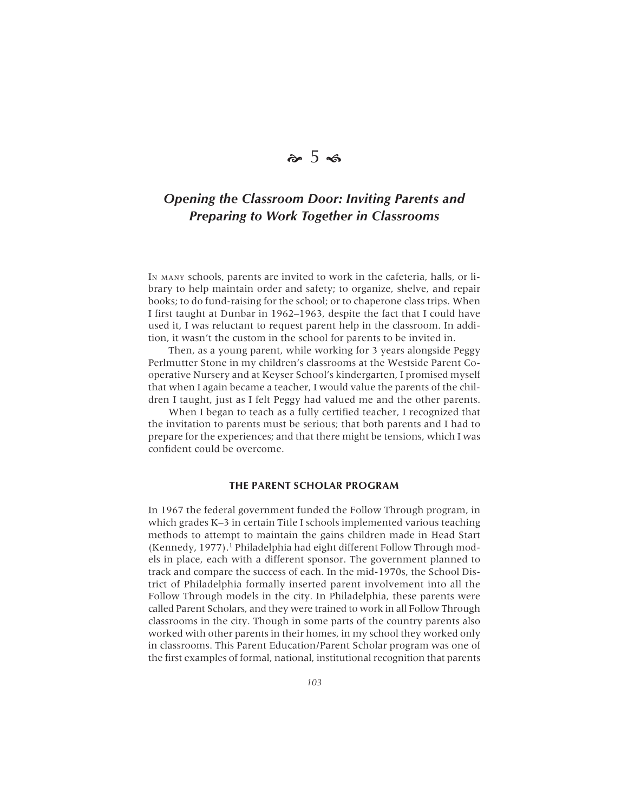$\approx$  5  $\ll$ 

# *Opening the Classroom Door: Inviting Parents and Preparing to Work Together in Classrooms*

IN MANY schools, parents are invited to work in the cafeteria, halls, or library to help maintain order and safety; to organize, shelve, and repair books; to do fund-raising for the school; or to chaperone class trips. When I first taught at Dunbar in 1962–1963, despite the fact that I could have used it, I was reluctant to request parent help in the classroom. In addition, it wasn't the custom in the school for parents to be invited in.

Then, as a young parent, while working for 3 years alongside Peggy Perlmutter Stone in my children's classrooms at the Westside Parent Cooperative Nursery and at Keyser School's kindergarten, I promised myself that when I again became a teacher, I would value the parents of the children I taught, just as I felt Peggy had valued me and the other parents.

When I began to teach as a fully certified teacher, I recognized that the invitation to parents must be serious; that both parents and I had to prepare for the experiences; and that there might be tensions, which I was confident could be overcome.

# **THE PARENT SCHOLAR PROGRAM**

In 1967 the federal government funded the Follow Through program, in which grades K–3 in certain Title I schools implemented various teaching methods to attempt to maintain the gains children made in Head Start (Kennedy, 1977).<sup>1</sup> Philadelphia had eight different Follow Through models in place, each with a different sponsor. The government planned to track and compare the success of each. In the mid-1970s, the School District of Philadelphia formally inserted parent involvement into all the Follow Through models in the city. In Philadelphia, these parents were called Parent Scholars, and they were trained to work in all Follow Through classrooms in the city. Though in some parts of the country parents also worked with other parents in their homes, in my school they worked only in classrooms. This Parent Education/Parent Scholar program was one of the first examples of formal, national, institutional recognition that parents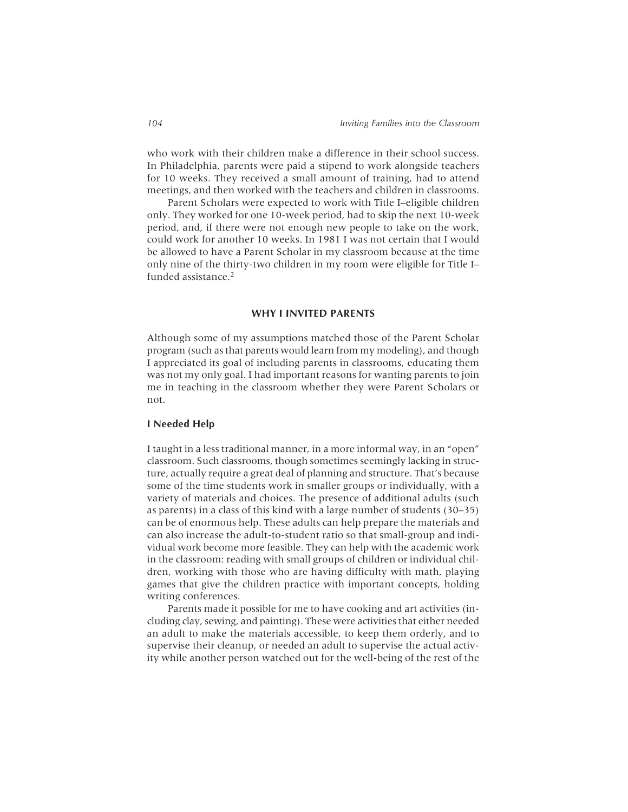who work with their children make a difference in their school success. In Philadelphia, parents were paid a stipend to work alongside teachers for 10 weeks. They received a small amount of training, had to attend meetings, and then worked with the teachers and children in classrooms.

Parent Scholars were expected to work with Title I–eligible children only. They worked for one 10-week period, had to skip the next 10-week period, and, if there were not enough new people to take on the work, could work for another 10 weeks. In 1981 I was not certain that I would be allowed to have a Parent Scholar in my classroom because at the time only nine of the thirty-two children in my room were eligible for Title I– funded assistance.2

#### **WHY I INVITED PARENTS**

Although some of my assumptions matched those of the Parent Scholar program (such as that parents would learn from my modeling), and though I appreciated its goal of including parents in classrooms, educating them was not my only goal. I had important reasons for wanting parents to join me in teaching in the classroom whether they were Parent Scholars or not.

### **I Needed Help**

I taught in a less traditional manner, in a more informal way, in an "open" classroom. Such classrooms, though sometimes seemingly lacking in structure, actually require a great deal of planning and structure. That's because some of the time students work in smaller groups or individually, with a variety of materials and choices. The presence of additional adults (such as parents) in a class of this kind with a large number of students (30–35) can be of enormous help. These adults can help prepare the materials and can also increase the adult-to-student ratio so that small-group and individual work become more feasible. They can help with the academic work in the classroom: reading with small groups of children or individual children, working with those who are having difficulty with math, playing games that give the children practice with important concepts, holding writing conferences.

Parents made it possible for me to have cooking and art activities (including clay, sewing, and painting). These were activities that either needed an adult to make the materials accessible, to keep them orderly, and to supervise their cleanup, or needed an adult to supervise the actual activity while another person watched out for the well-being of the rest of the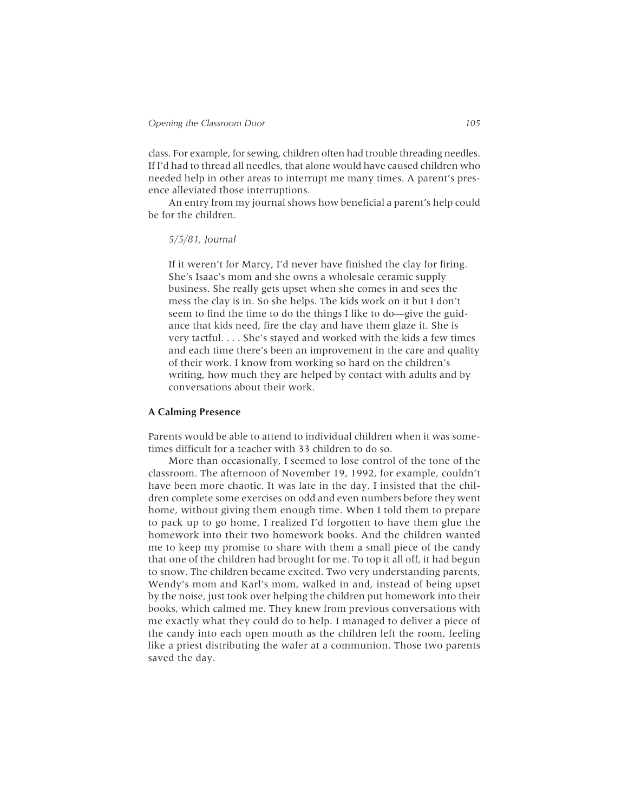class. For example, for sewing, children often had trouble threading needles. If I'd had to thread all needles, that alone would have caused children who needed help in other areas to interrupt me many times. A parent's presence alleviated those interruptions.

An entry from my journal shows how beneficial a parent's help could be for the children.

#### *5/5/81, Journal*

If it weren't for Marcy, I'd never have finished the clay for firing. She's Isaac's mom and she owns a wholesale ceramic supply business. She really gets upset when she comes in and sees the mess the clay is in. So she helps. The kids work on it but I don't seem to find the time to do the things I like to do—give the guidance that kids need, fire the clay and have them glaze it. She is very tactful. . . . She's stayed and worked with the kids a few times and each time there's been an improvement in the care and quality of their work. I know from working so hard on the children's writing, how much they are helped by contact with adults and by conversations about their work.

# **A Calming Presence**

Parents would be able to attend to individual children when it was sometimes difficult for a teacher with 33 children to do so.

More than occasionally, I seemed to lose control of the tone of the classroom. The afternoon of November 19, 1992, for example, couldn't have been more chaotic. It was late in the day. I insisted that the children complete some exercises on odd and even numbers before they went home, without giving them enough time. When I told them to prepare to pack up to go home, I realized I'd forgotten to have them glue the homework into their two homework books. And the children wanted me to keep my promise to share with them a small piece of the candy that one of the children had brought for me. To top it all off, it had begun to snow. The children became excited. Two very understanding parents, Wendy's mom and Karl's mom, walked in and, instead of being upset by the noise, just took over helping the children put homework into their books, which calmed me. They knew from previous conversations with me exactly what they could do to help. I managed to deliver a piece of the candy into each open mouth as the children left the room, feeling like a priest distributing the wafer at a communion. Those two parents saved the day.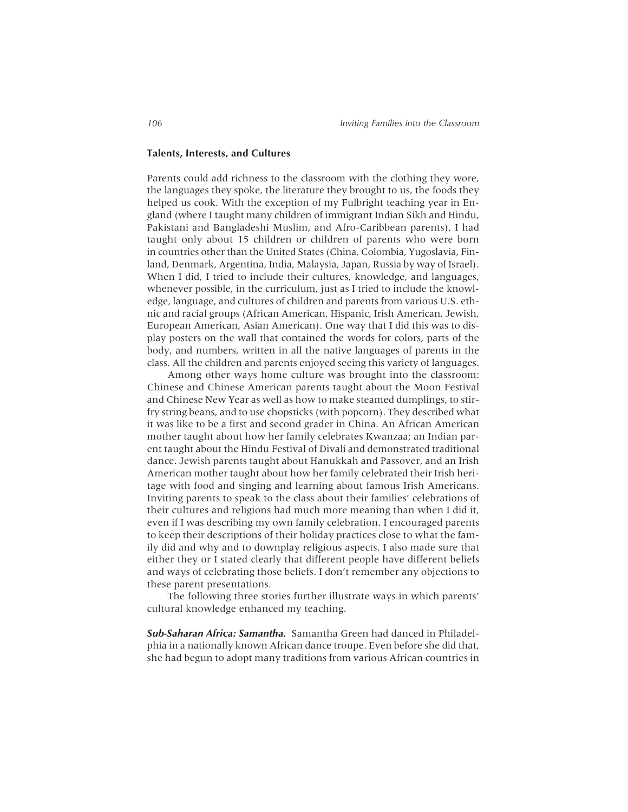#### **Talents, Interests, and Cultures**

Parents could add richness to the classroom with the clothing they wore, the languages they spoke, the literature they brought to us, the foods they helped us cook. With the exception of my Fulbright teaching year in England (where I taught many children of immigrant Indian Sikh and Hindu, Pakistani and Bangladeshi Muslim, and Afro-Caribbean parents), I had taught only about 15 children or children of parents who were born in countries other than the United States (China, Colombia, Yugoslavia, Finland, Denmark, Argentina, India, Malaysia, Japan, Russia by way of Israel). When I did, I tried to include their cultures, knowledge, and languages, whenever possible, in the curriculum, just as I tried to include the knowledge, language, and cultures of children and parents from various U.S. ethnic and racial groups (African American, Hispanic, Irish American, Jewish, European American, Asian American). One way that I did this was to display posters on the wall that contained the words for colors, parts of the body, and numbers, written in all the native languages of parents in the class. All the children and parents enjoyed seeing this variety of languages.

Among other ways home culture was brought into the classroom: Chinese and Chinese American parents taught about the Moon Festival and Chinese New Year as well as how to make steamed dumplings, to stirfry string beans, and to use chopsticks (with popcorn). They described what it was like to be a first and second grader in China. An African American mother taught about how her family celebrates Kwanzaa; an Indian parent taught about the Hindu Festival of Divali and demonstrated traditional dance. Jewish parents taught about Hanukkah and Passover, and an Irish American mother taught about how her family celebrated their Irish heritage with food and singing and learning about famous Irish Americans. Inviting parents to speak to the class about their families' celebrations of their cultures and religions had much more meaning than when I did it, even if I was describing my own family celebration. I encouraged parents to keep their descriptions of their holiday practices close to what the family did and why and to downplay religious aspects. I also made sure that either they or I stated clearly that different people have different beliefs and ways of celebrating those beliefs. I don't remember any objections to these parent presentations.

The following three stories further illustrate ways in which parents' cultural knowledge enhanced my teaching.

*Sub-Saharan Africa: Samantha.* Samantha Green had danced in Philadelphia in a nationally known African dance troupe. Even before she did that, she had begun to adopt many traditions from various African countries in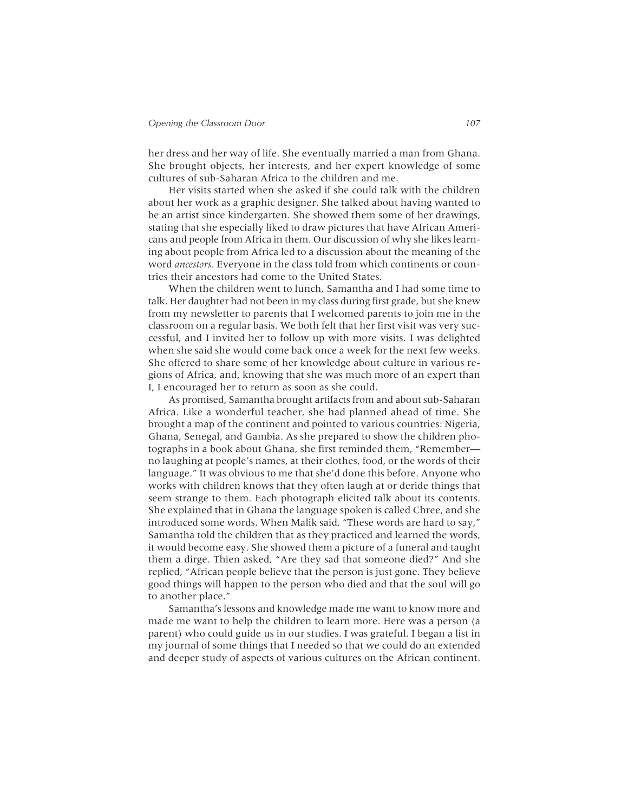her dress and her way of life. She eventually married a man from Ghana. She brought objects, her interests, and her expert knowledge of some cultures of sub-Saharan Africa to the children and me.

Her visits started when she asked if she could talk with the children about her work as a graphic designer. She talked about having wanted to be an artist since kindergarten. She showed them some of her drawings, stating that she especially liked to draw pictures that have African Americans and people from Africa in them. Our discussion of why she likes learning about people from Africa led to a discussion about the meaning of the word *ancestors*. Everyone in the class told from which continents or countries their ancestors had come to the United States.

When the children went to lunch, Samantha and I had some time to talk. Her daughter had not been in my class during first grade, but she knew from my newsletter to parents that I welcomed parents to join me in the classroom on a regular basis. We both felt that her first visit was very successful, and I invited her to follow up with more visits. I was delighted when she said she would come back once a week for the next few weeks. She offered to share some of her knowledge about culture in various regions of Africa, and, knowing that she was much more of an expert than I, I encouraged her to return as soon as she could.

As promised, Samantha brought artifacts from and about sub-Saharan Africa. Like a wonderful teacher, she had planned ahead of time. She brought a map of the continent and pointed to various countries: Nigeria, Ghana, Senegal, and Gambia. As she prepared to show the children photographs in a book about Ghana, she first reminded them, "Remember no laughing at people's names, at their clothes, food, or the words of their language." It was obvious to me that she'd done this before. Anyone who works with children knows that they often laugh at or deride things that seem strange to them. Each photograph elicited talk about its contents. She explained that in Ghana the language spoken is called Chree, and she introduced some words. When Malik said, "These words are hard to say," Samantha told the children that as they practiced and learned the words, it would become easy. She showed them a picture of a funeral and taught them a dirge. Thien asked, "Are they sad that someone died?" And she replied, "African people believe that the person is just gone. They believe good things will happen to the person who died and that the soul will go to another place."

Samantha's lessons and knowledge made me want to know more and made me want to help the children to learn more. Here was a person (a parent) who could guide us in our studies. I was grateful. I began a list in my journal of some things that I needed so that we could do an extended and deeper study of aspects of various cultures on the African continent.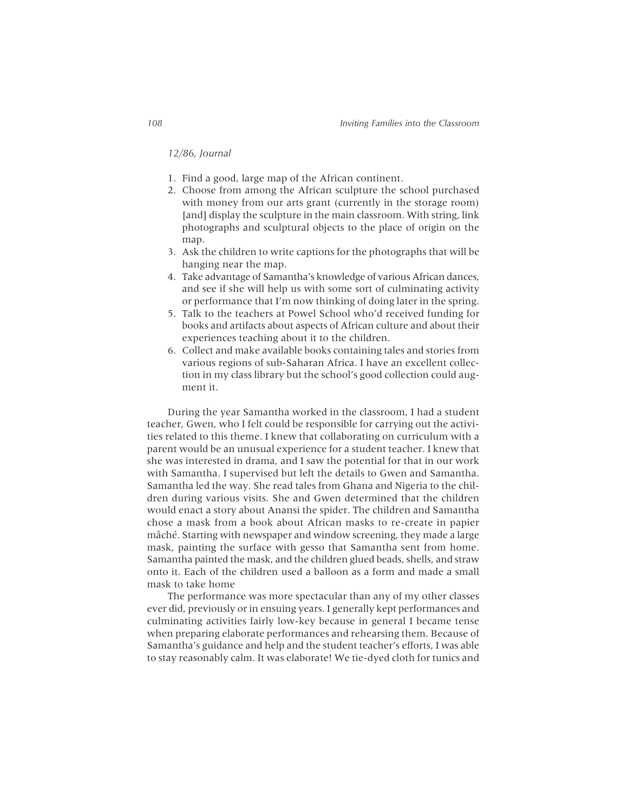#### *12/86, Journal*

- 1. Find a good, large map of the African continent.
- 2. Choose from among the African sculpture the school purchased with money from our arts grant (currently in the storage room) [and] display the sculpture in the main classroom. With string, link photographs and sculptural objects to the place of origin on the map.
- 3. Ask the children to write captions for the photographs that will be hanging near the map.
- 4. Take advantage of Samantha's knowledge of various African dances, and see if she will help us with some sort of culminating activity or performance that I'm now thinking of doing later in the spring.
- 5. Talk to the teachers at Powel School who'd received funding for books and artifacts about aspects of African culture and about their experiences teaching about it to the children.
- 6. Collect and make available books containing tales and stories from various regions of sub-Saharan Africa. I have an excellent collection in my class library but the school's good collection could augment it.

During the year Samantha worked in the classroom, I had a student teacher, Gwen, who I felt could be responsible for carrying out the activities related to this theme. I knew that collaborating on curriculum with a parent would be an unusual experience for a student teacher. I knew that she was interested in drama, and I saw the potential for that in our work with Samantha. I supervised but left the details to Gwen and Samantha. Samantha led the way. She read tales from Ghana and Nigeria to the children during various visits. She and Gwen determined that the children would enact a story about Anansi the spider. The children and Samantha chose a mask from a book about African masks to re-create in papier mâché. Starting with newspaper and window screening, they made a large mask, painting the surface with gesso that Samantha sent from home. Samantha painted the mask, and the children glued beads, shells, and straw onto it. Each of the children used a balloon as a form and made a small mask to take home

The performance was more spectacular than any of my other classes ever did, previously or in ensuing years. I generally kept performances and culminating activities fairly low-key because in general I became tense when preparing elaborate performances and rehearsing them. Because of Samantha's guidance and help and the student teacher's efforts, I was able to stay reasonably calm. It was elaborate! We tie-dyed cloth for tunics and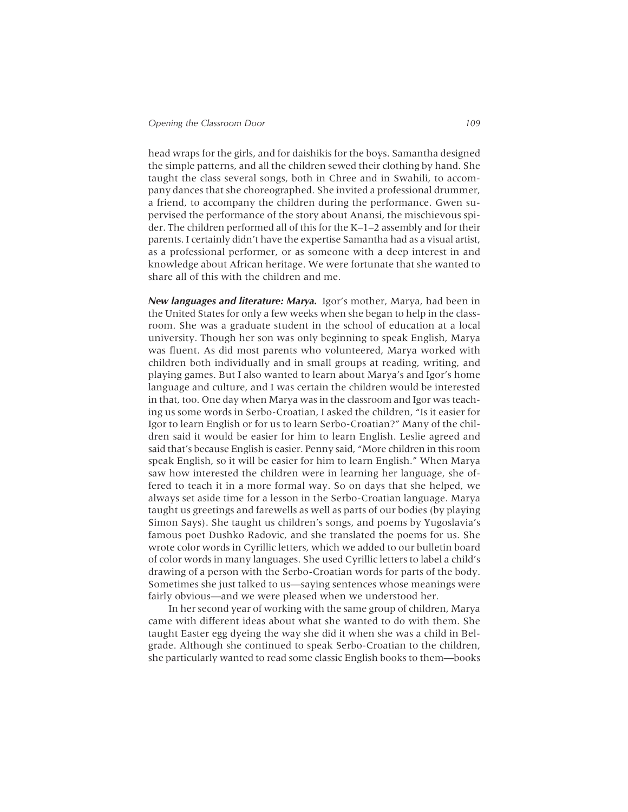head wraps for the girls, and for daishikis for the boys. Samantha designed the simple patterns, and all the children sewed their clothing by hand. She taught the class several songs, both in Chree and in Swahili, to accompany dances that she choreographed. She invited a professional drummer, a friend, to accompany the children during the performance. Gwen supervised the performance of the story about Anansi, the mischievous spider. The children performed all of this for the K–1–2 assembly and for their parents. I certainly didn't have the expertise Samantha had as a visual artist, as a professional performer, or as someone with a deep interest in and knowledge about African heritage. We were fortunate that she wanted to share all of this with the children and me.

*New languages and literature: Marya.* Igor's mother, Marya, had been in the United States for only a few weeks when she began to help in the classroom. She was a graduate student in the school of education at a local university. Though her son was only beginning to speak English, Marya was fluent. As did most parents who volunteered, Marya worked with children both individually and in small groups at reading, writing, and playing games. But I also wanted to learn about Marya's and Igor's home language and culture, and I was certain the children would be interested in that, too. One day when Marya was in the classroom and Igor was teaching us some words in Serbo-Croatian, I asked the children, "Is it easier for Igor to learn English or for us to learn Serbo-Croatian?" Many of the children said it would be easier for him to learn English. Leslie agreed and said that's because English is easier. Penny said, "More children in this room speak English, so it will be easier for him to learn English." When Marya saw how interested the children were in learning her language, she offered to teach it in a more formal way. So on days that she helped, we always set aside time for a lesson in the Serbo-Croatian language. Marya taught us greetings and farewells as well as parts of our bodies (by playing Simon Says). She taught us children's songs, and poems by Yugoslavia's famous poet Dushko Radovic, and she translated the poems for us. She wrote color words in Cyrillic letters, which we added to our bulletin board of color words in many languages. She used Cyrillic letters to label a child's drawing of a person with the Serbo-Croatian words for parts of the body. Sometimes she just talked to us—saying sentences whose meanings were fairly obvious—and we were pleased when we understood her.

In her second year of working with the same group of children, Marya came with different ideas about what she wanted to do with them. She taught Easter egg dyeing the way she did it when she was a child in Belgrade. Although she continued to speak Serbo-Croatian to the children, she particularly wanted to read some classic English books to them—books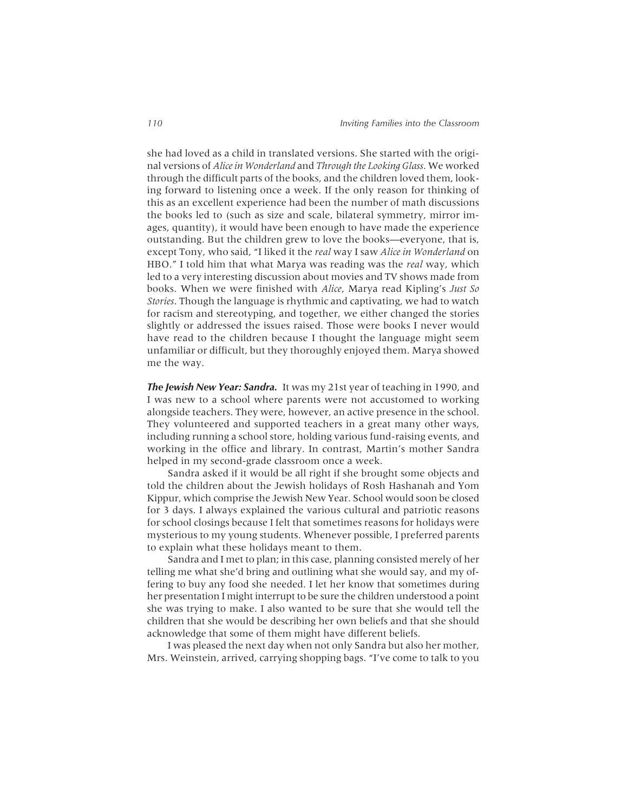she had loved as a child in translated versions. She started with the original versions of *Alice in Wonderland* and *Through the Looking Glass*. We worked through the difficult parts of the books, and the children loved them, looking forward to listening once a week. If the only reason for thinking of this as an excellent experience had been the number of math discussions the books led to (such as size and scale, bilateral symmetry, mirror images, quantity), it would have been enough to have made the experience outstanding. But the children grew to love the books—everyone, that is, except Tony, who said, "I liked it the *real* way I saw *Alice in Wonderland* on HBO." I told him that what Marya was reading was the *real* way, which led to a very interesting discussion about movies and TV shows made from books. When we were finished with *Alice*, Marya read Kipling's *Just So Stories*. Though the language is rhythmic and captivating, we had to watch for racism and stereotyping, and together, we either changed the stories slightly or addressed the issues raised. Those were books I never would have read to the children because I thought the language might seem unfamiliar or difficult, but they thoroughly enjoyed them. Marya showed me the way.

*The Jewish New Year: Sandra.* It was my 21st year of teaching in 1990, and I was new to a school where parents were not accustomed to working alongside teachers. They were, however, an active presence in the school. They volunteered and supported teachers in a great many other ways, including running a school store, holding various fund-raising events, and working in the office and library. In contrast, Martin's mother Sandra helped in my second-grade classroom once a week.

Sandra asked if it would be all right if she brought some objects and told the children about the Jewish holidays of Rosh Hashanah and Yom Kippur, which comprise the Jewish New Year. School would soon be closed for 3 days. I always explained the various cultural and patriotic reasons for school closings because I felt that sometimes reasons for holidays were mysterious to my young students. Whenever possible, I preferred parents to explain what these holidays meant to them.

Sandra and I met to plan; in this case, planning consisted merely of her telling me what she'd bring and outlining what she would say, and my offering to buy any food she needed. I let her know that sometimes during her presentation I might interrupt to be sure the children understood a point she was trying to make. I also wanted to be sure that she would tell the children that she would be describing her own beliefs and that she should acknowledge that some of them might have different beliefs.

I was pleased the next day when not only Sandra but also her mother, Mrs. Weinstein, arrived, carrying shopping bags. "I've come to talk to you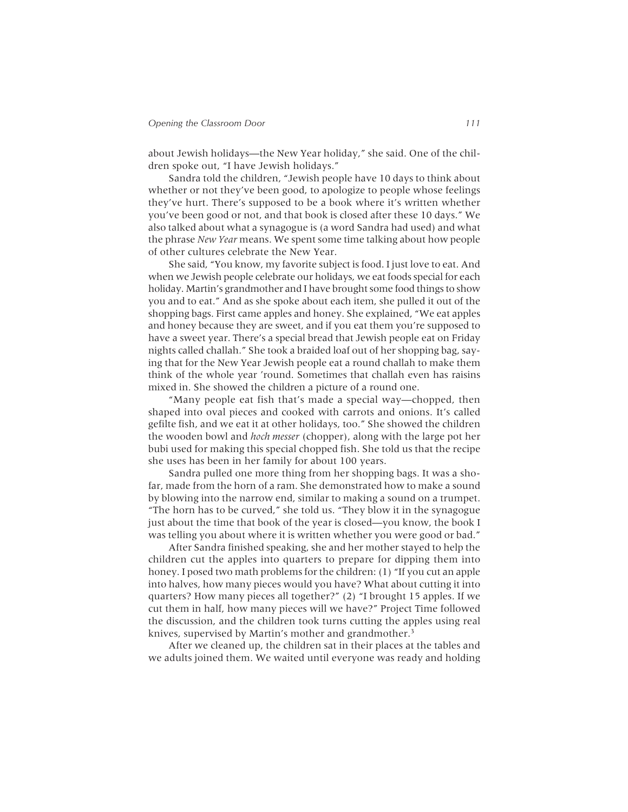about Jewish holidays—the New Year holiday," she said. One of the children spoke out, "I have Jewish holidays."

Sandra told the children, "Jewish people have 10 days to think about whether or not they've been good, to apologize to people whose feelings they've hurt. There's supposed to be a book where it's written whether you've been good or not, and that book is closed after these 10 days." We also talked about what a synagogue is (a word Sandra had used) and what the phrase *New Year* means. We spent some time talking about how people of other cultures celebrate the New Year.

She said, "You know, my favorite subject is food. I just love to eat. And when we Jewish people celebrate our holidays, we eat foods special for each holiday. Martin's grandmother and I have brought some food things to show you and to eat." And as she spoke about each item, she pulled it out of the shopping bags. First came apples and honey. She explained, "We eat apples and honey because they are sweet, and if you eat them you're supposed to have a sweet year. There's a special bread that Jewish people eat on Friday nights called challah." She took a braided loaf out of her shopping bag, saying that for the New Year Jewish people eat a round challah to make them think of the whole year 'round. Sometimes that challah even has raisins mixed in. She showed the children a picture of a round one.

"Many people eat fish that's made a special way—chopped, then shaped into oval pieces and cooked with carrots and onions. It's called gefilte fish, and we eat it at other holidays, too." She showed the children the wooden bowl and *hoch messer* (chopper), along with the large pot her bubi used for making this special chopped fish. She told us that the recipe she uses has been in her family for about 100 years.

Sandra pulled one more thing from her shopping bags. It was a shofar, made from the horn of a ram. She demonstrated how to make a sound by blowing into the narrow end, similar to making a sound on a trumpet. "The horn has to be curved," she told us. "They blow it in the synagogue just about the time that book of the year is closed—you know, the book I was telling you about where it is written whether you were good or bad."

After Sandra finished speaking, she and her mother stayed to help the children cut the apples into quarters to prepare for dipping them into honey. I posed two math problems for the children: (1) "If you cut an apple into halves, how many pieces would you have? What about cutting it into quarters? How many pieces all together?" (2) "I brought 15 apples. If we cut them in half, how many pieces will we have?" Project Time followed the discussion, and the children took turns cutting the apples using real knives, supervised by Martin's mother and grandmother.<sup>3</sup>

After we cleaned up, the children sat in their places at the tables and we adults joined them. We waited until everyone was ready and holding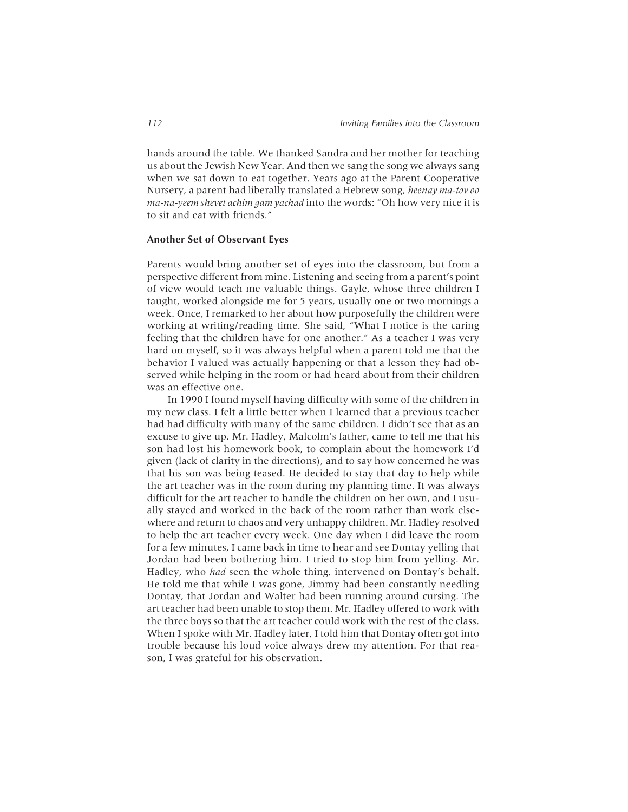hands around the table. We thanked Sandra and her mother for teaching us about the Jewish New Year. And then we sang the song we always sang when we sat down to eat together. Years ago at the Parent Cooperative Nursery, a parent had liberally translated a Hebrew song, *heenay ma-tov oo ma-na-yeem shevet achim gam yachad* into the words: "Oh how very nice it is to sit and eat with friends."

### **Another Set of Observant Eyes**

Parents would bring another set of eyes into the classroom, but from a perspective different from mine. Listening and seeing from a parent's point of view would teach me valuable things. Gayle, whose three children I taught, worked alongside me for 5 years, usually one or two mornings a week. Once, I remarked to her about how purposefully the children were working at writing/reading time. She said, "What I notice is the caring feeling that the children have for one another." As a teacher I was very hard on myself, so it was always helpful when a parent told me that the behavior I valued was actually happening or that a lesson they had observed while helping in the room or had heard about from their children was an effective one.

In 1990 I found myself having difficulty with some of the children in my new class. I felt a little better when I learned that a previous teacher had had difficulty with many of the same children. I didn't see that as an excuse to give up. Mr. Hadley, Malcolm's father, came to tell me that his son had lost his homework book, to complain about the homework I'd given (lack of clarity in the directions), and to say how concerned he was that his son was being teased. He decided to stay that day to help while the art teacher was in the room during my planning time. It was always difficult for the art teacher to handle the children on her own, and I usually stayed and worked in the back of the room rather than work elsewhere and return to chaos and very unhappy children. Mr. Hadley resolved to help the art teacher every week. One day when I did leave the room for a few minutes, I came back in time to hear and see Dontay yelling that Jordan had been bothering him. I tried to stop him from yelling. Mr. Hadley, who *had* seen the whole thing, intervened on Dontay's behalf. He told me that while I was gone, Jimmy had been constantly needling Dontay, that Jordan and Walter had been running around cursing. The art teacher had been unable to stop them. Mr. Hadley offered to work with the three boys so that the art teacher could work with the rest of the class. When I spoke with Mr. Hadley later, I told him that Dontay often got into trouble because his loud voice always drew my attention. For that reason, I was grateful for his observation.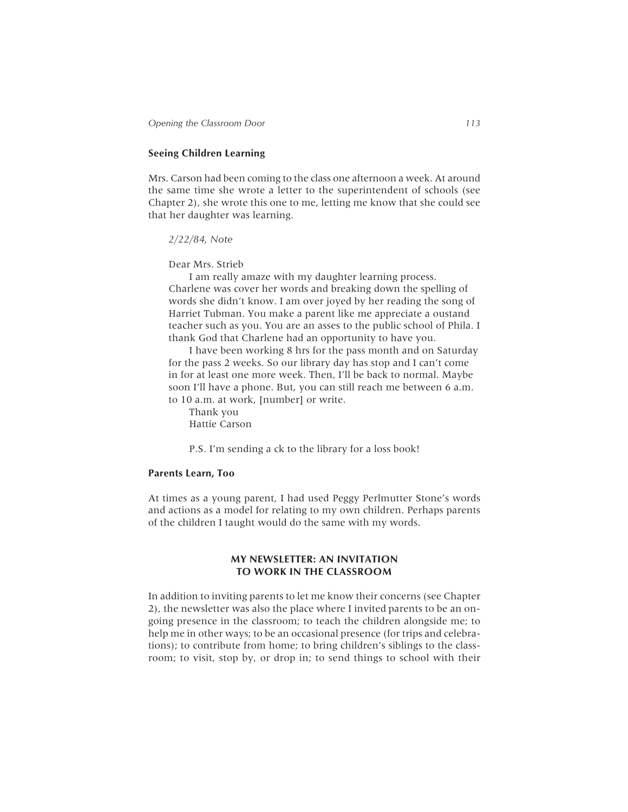*Opening the Classroom Door 113*

#### **Seeing Children Learning**

Mrs. Carson had been coming to the class one afternoon a week. At around the same time she wrote a letter to the superintendent of schools (see Chapter 2), she wrote this one to me, letting me know that she could see that her daughter was learning.

*2/22/84, Note*

Dear Mrs. Strieb

I am really amaze with my daughter learning process. Charlene was cover her words and breaking down the spelling of words she didn't know. I am over joyed by her reading the song of Harriet Tubman. You make a parent like me appreciate a oustand teacher such as you. You are an asses to the public school of Phila. I thank God that Charlene had an opportunity to have you.

I have been working 8 hrs for the pass month and on Saturday for the pass 2 weeks. So our library day has stop and I can't come in for at least one more week. Then, I'll be back to normal. Maybe soon I'll have a phone. But, you can still reach me between 6 a.m. to 10 a.m. at work, [number] or write.

Thank you Hattie Carson

P.S. I'm sending a ck to the library for a loss book!

### **Parents Learn, Too**

At times as a young parent, I had used Peggy Perlmutter Stone's words and actions as a model for relating to my own children. Perhaps parents of the children I taught would do the same with my words.

## **MY NEWSLETTER: AN INVITATION TO WORK IN THE CLASSROOM**

In addition to inviting parents to let me know their concerns (see Chapter 2), the newsletter was also the place where I invited parents to be an ongoing presence in the classroom; to teach the children alongside me; to help me in other ways; to be an occasional presence (for trips and celebrations); to contribute from home; to bring children's siblings to the classroom; to visit, stop by, or drop in; to send things to school with their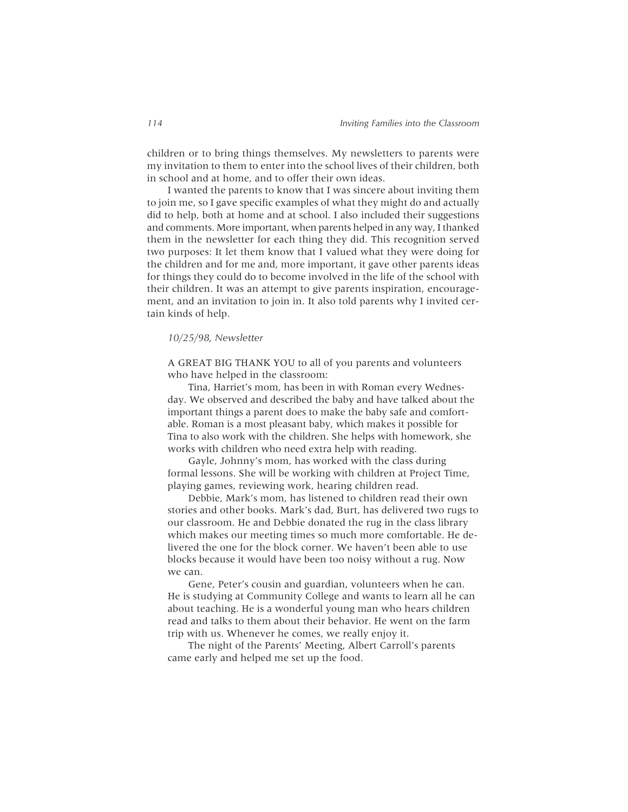children or to bring things themselves. My newsletters to parents were my invitation to them to enter into the school lives of their children, both in school and at home, and to offer their own ideas.

I wanted the parents to know that I was sincere about inviting them to join me, so I gave specific examples of what they might do and actually did to help, both at home and at school. I also included their suggestions and comments. More important, when parents helped in any way, I thanked them in the newsletter for each thing they did. This recognition served two purposes: It let them know that I valued what they were doing for the children and for me and, more important, it gave other parents ideas for things they could do to become involved in the life of the school with their children. It was an attempt to give parents inspiration, encouragement, and an invitation to join in. It also told parents why I invited certain kinds of help.

#### *10/25/98, Newsletter*

A GREAT BIG THANK YOU to all of you parents and volunteers who have helped in the classroom:

Tina, Harriet's mom, has been in with Roman every Wednesday. We observed and described the baby and have talked about the important things a parent does to make the baby safe and comfortable. Roman is a most pleasant baby, which makes it possible for Tina to also work with the children. She helps with homework, she works with children who need extra help with reading.

Gayle, Johnny's mom, has worked with the class during formal lessons. She will be working with children at Project Time, playing games, reviewing work, hearing children read.

Debbie, Mark's mom, has listened to children read their own stories and other books. Mark's dad, Burt, has delivered two rugs to our classroom. He and Debbie donated the rug in the class library which makes our meeting times so much more comfortable. He delivered the one for the block corner. We haven't been able to use blocks because it would have been too noisy without a rug. Now we can.

Gene, Peter's cousin and guardian, volunteers when he can. He is studying at Community College and wants to learn all he can about teaching. He is a wonderful young man who hears children read and talks to them about their behavior. He went on the farm trip with us. Whenever he comes, we really enjoy it.

The night of the Parents' Meeting, Albert Carroll's parents came early and helped me set up the food.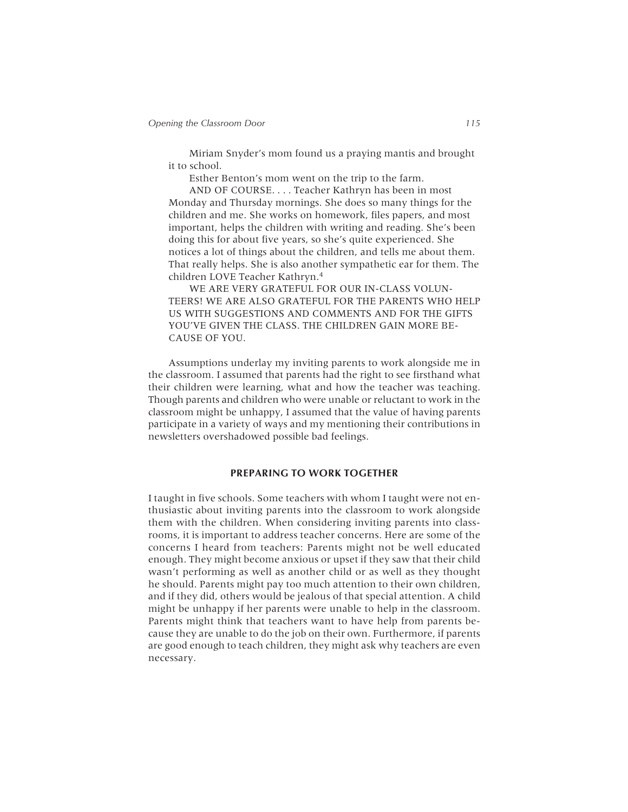Miriam Snyder's mom found us a praying mantis and brought it to school.

Esther Benton's mom went on the trip to the farm.

AND OF COURSE. . . . Teacher Kathryn has been in most Monday and Thursday mornings. She does so many things for the children and me. She works on homework, files papers, and most important, helps the children with writing and reading. She's been doing this for about five years, so she's quite experienced. She notices a lot of things about the children, and tells me about them. That really helps. She is also another sympathetic ear for them. The children LOVE Teacher Kathryn.4

WE ARE VERY GRATEFUL FOR OUR IN-CLASS VOLUN-TEERS! WE ARE ALSO GRATEFUL FOR THE PARENTS WHO HELP US WITH SUGGESTIONS AND COMMENTS AND FOR THE GIFTS YOU'VE GIVEN THE CLASS. THE CHILDREN GAIN MORE BE-CAUSE OF YOU.

Assumptions underlay my inviting parents to work alongside me in the classroom. I assumed that parents had the right to see firsthand what their children were learning, what and how the teacher was teaching. Though parents and children who were unable or reluctant to work in the classroom might be unhappy, I assumed that the value of having parents participate in a variety of ways and my mentioning their contributions in newsletters overshadowed possible bad feelings.

# **PREPARING TO WORK TOGETHER**

I taught in five schools. Some teachers with whom I taught were not enthusiastic about inviting parents into the classroom to work alongside them with the children. When considering inviting parents into classrooms, it is important to address teacher concerns. Here are some of the concerns I heard from teachers: Parents might not be well educated enough. They might become anxious or upset if they saw that their child wasn't performing as well as another child or as well as they thought he should. Parents might pay too much attention to their own children, and if they did, others would be jealous of that special attention. A child might be unhappy if her parents were unable to help in the classroom. Parents might think that teachers want to have help from parents because they are unable to do the job on their own. Furthermore, if parents are good enough to teach children, they might ask why teachers are even necessary.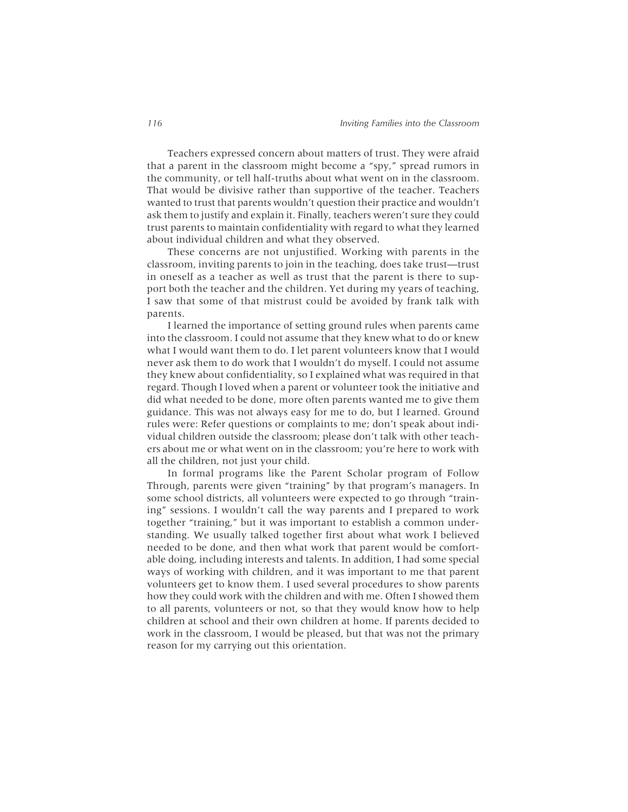Teachers expressed concern about matters of trust. They were afraid that a parent in the classroom might become a "spy," spread rumors in the community, or tell half-truths about what went on in the classroom. That would be divisive rather than supportive of the teacher. Teachers wanted to trust that parents wouldn't question their practice and wouldn't ask them to justify and explain it. Finally, teachers weren't sure they could trust parents to maintain confidentiality with regard to what they learned about individual children and what they observed.

These concerns are not unjustified. Working with parents in the classroom, inviting parents to join in the teaching, does take trust—trust in oneself as a teacher as well as trust that the parent is there to support both the teacher and the children. Yet during my years of teaching, I saw that some of that mistrust could be avoided by frank talk with parents.

I learned the importance of setting ground rules when parents came into the classroom. I could not assume that they knew what to do or knew what I would want them to do. I let parent volunteers know that I would never ask them to do work that I wouldn't do myself. I could not assume they knew about confidentiality, so I explained what was required in that regard. Though I loved when a parent or volunteer took the initiative and did what needed to be done, more often parents wanted me to give them guidance. This was not always easy for me to do, but I learned. Ground rules were: Refer questions or complaints to me; don't speak about individual children outside the classroom; please don't talk with other teachers about me or what went on in the classroom; you're here to work with all the children, not just your child.

In formal programs like the Parent Scholar program of Follow Through, parents were given "training" by that program's managers. In some school districts, all volunteers were expected to go through "training" sessions. I wouldn't call the way parents and I prepared to work together "training," but it was important to establish a common understanding. We usually talked together first about what work I believed needed to be done, and then what work that parent would be comfortable doing, including interests and talents. In addition, I had some special ways of working with children, and it was important to me that parent volunteers get to know them. I used several procedures to show parents how they could work with the children and with me. Often I showed them to all parents, volunteers or not, so that they would know how to help children at school and their own children at home. If parents decided to work in the classroom, I would be pleased, but that was not the primary reason for my carrying out this orientation.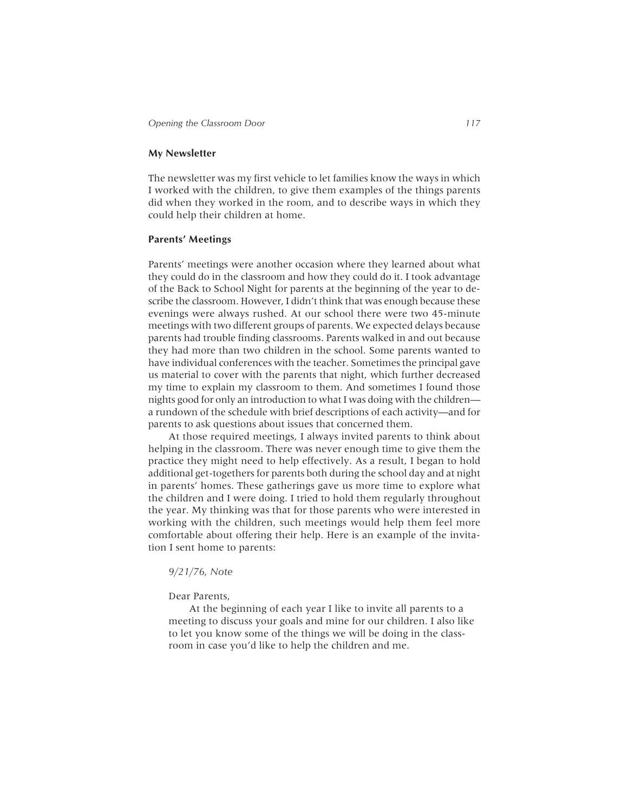#### **My Newsletter**

The newsletter was my first vehicle to let families know the ways in which I worked with the children, to give them examples of the things parents did when they worked in the room, and to describe ways in which they could help their children at home.

#### **Parents' Meetings**

Parents' meetings were another occasion where they learned about what they could do in the classroom and how they could do it. I took advantage of the Back to School Night for parents at the beginning of the year to describe the classroom. However, I didn't think that was enough because these evenings were always rushed. At our school there were two 45-minute meetings with two different groups of parents. We expected delays because parents had trouble finding classrooms. Parents walked in and out because they had more than two children in the school. Some parents wanted to have individual conferences with the teacher. Sometimes the principal gave us material to cover with the parents that night, which further decreased my time to explain my classroom to them. And sometimes I found those nights good for only an introduction to what I was doing with the children a rundown of the schedule with brief descriptions of each activity—and for parents to ask questions about issues that concerned them.

At those required meetings, I always invited parents to think about helping in the classroom. There was never enough time to give them the practice they might need to help effectively. As a result, I began to hold additional get-togethers for parents both during the school day and at night in parents' homes. These gatherings gave us more time to explore what the children and I were doing. I tried to hold them regularly throughout the year. My thinking was that for those parents who were interested in working with the children, such meetings would help them feel more comfortable about offering their help. Here is an example of the invitation I sent home to parents:

#### *9/21/76, Note*

#### Dear Parents,

At the beginning of each year I like to invite all parents to a meeting to discuss your goals and mine for our children. I also like to let you know some of the things we will be doing in the classroom in case you'd like to help the children and me.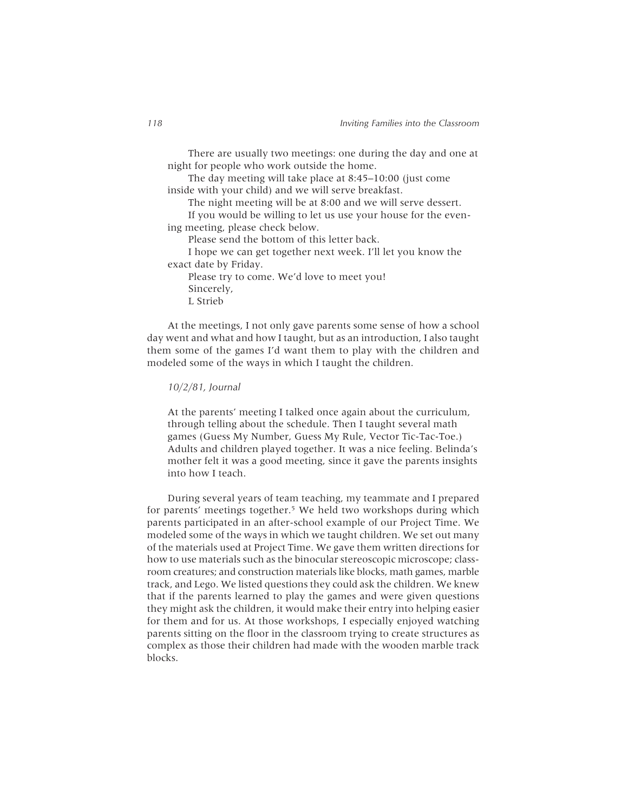There are usually two meetings: one during the day and one at night for people who work outside the home.

The day meeting will take place at 8:45–10:00 (just come inside with your child) and we will serve breakfast.

The night meeting will be at 8:00 and we will serve dessert.

If you would be willing to let us use your house for the evening meeting, please check below.

Please send the bottom of this letter back.

I hope we can get together next week. I'll let you know the exact date by Friday.

Please try to come. We'd love to meet you! Sincerely, L Strieb

At the meetings, I not only gave parents some sense of how a school day went and what and how I taught, but as an introduction, I also taught them some of the games I'd want them to play with the children and modeled some of the ways in which I taught the children.

#### *10/2/81, Journal*

At the parents' meeting I talked once again about the curriculum, through telling about the schedule. Then I taught several math games (Guess My Number, Guess My Rule, Vector Tic-Tac-Toe.) Adults and children played together. It was a nice feeling. Belinda's mother felt it was a good meeting, since it gave the parents insights into how I teach.

During several years of team teaching, my teammate and I prepared for parents' meetings together.<sup>5</sup> We held two workshops during which parents participated in an after-school example of our Project Time. We modeled some of the ways in which we taught children. We set out many of the materials used at Project Time. We gave them written directions for how to use materials such as the binocular stereoscopic microscope; classroom creatures; and construction materials like blocks, math games, marble track, and Lego. We listed questions they could ask the children. We knew that if the parents learned to play the games and were given questions they might ask the children, it would make their entry into helping easier for them and for us. At those workshops, I especially enjoyed watching parents sitting on the floor in the classroom trying to create structures as complex as those their children had made with the wooden marble track blocks.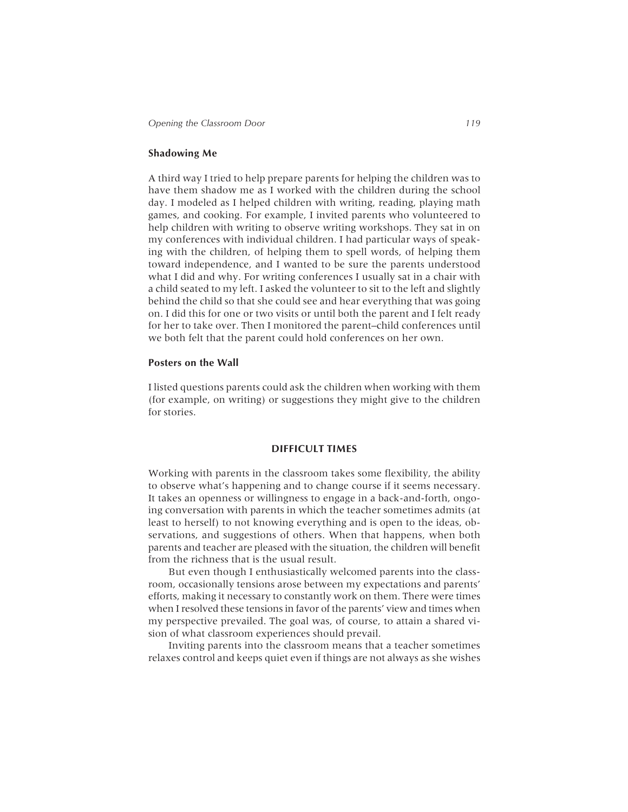*Opening the Classroom Door 119*

#### **Shadowing Me**

A third way I tried to help prepare parents for helping the children was to have them shadow me as I worked with the children during the school day. I modeled as I helped children with writing, reading, playing math games, and cooking. For example, I invited parents who volunteered to help children with writing to observe writing workshops. They sat in on my conferences with individual children. I had particular ways of speaking with the children, of helping them to spell words, of helping them toward independence, and I wanted to be sure the parents understood what I did and why. For writing conferences I usually sat in a chair with a child seated to my left. I asked the volunteer to sit to the left and slightly behind the child so that she could see and hear everything that was going on. I did this for one or two visits or until both the parent and I felt ready for her to take over. Then I monitored the parent–child conferences until we both felt that the parent could hold conferences on her own.

#### **Posters on the Wall**

I listed questions parents could ask the children when working with them (for example, on writing) or suggestions they might give to the children for stories.

#### **DIFFICULT TIMES**

Working with parents in the classroom takes some flexibility, the ability to observe what's happening and to change course if it seems necessary. It takes an openness or willingness to engage in a back-and-forth, ongoing conversation with parents in which the teacher sometimes admits (at least to herself) to not knowing everything and is open to the ideas, observations, and suggestions of others. When that happens, when both parents and teacher are pleased with the situation, the children will benefit from the richness that is the usual result.

But even though I enthusiastically welcomed parents into the classroom, occasionally tensions arose between my expectations and parents' efforts, making it necessary to constantly work on them. There were times when I resolved these tensions in favor of the parents' view and times when my perspective prevailed. The goal was, of course, to attain a shared vision of what classroom experiences should prevail.

Inviting parents into the classroom means that a teacher sometimes relaxes control and keeps quiet even if things are not always as she wishes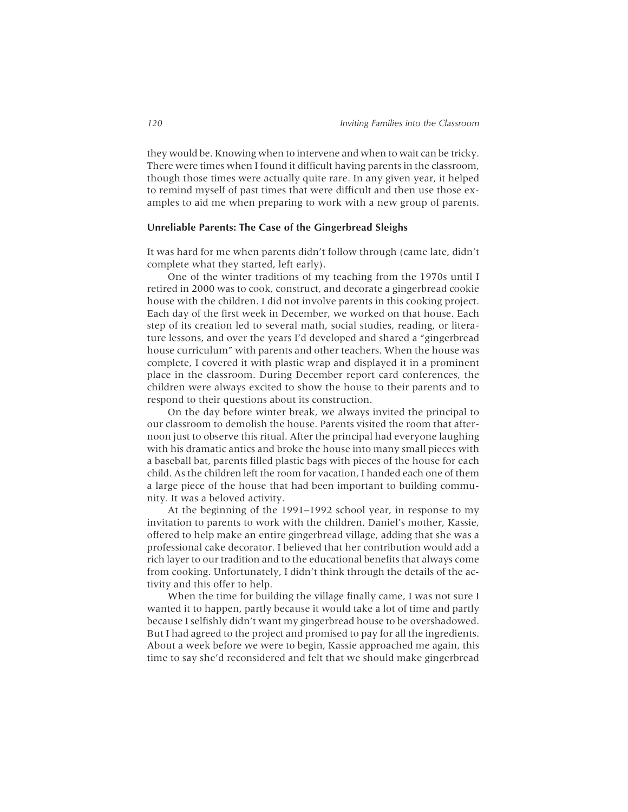they would be. Knowing when to intervene and when to wait can be tricky. There were times when I found it difficult having parents in the classroom, though those times were actually quite rare. In any given year, it helped to remind myself of past times that were difficult and then use those examples to aid me when preparing to work with a new group of parents.

#### **Unreliable Parents: The Case of the Gingerbread Sleighs**

It was hard for me when parents didn't follow through (came late, didn't complete what they started, left early).

One of the winter traditions of my teaching from the 1970s until I retired in 2000 was to cook, construct, and decorate a gingerbread cookie house with the children. I did not involve parents in this cooking project. Each day of the first week in December, we worked on that house. Each step of its creation led to several math, social studies, reading, or literature lessons, and over the years I'd developed and shared a "gingerbread house curriculum" with parents and other teachers. When the house was complete, I covered it with plastic wrap and displayed it in a prominent place in the classroom. During December report card conferences, the children were always excited to show the house to their parents and to respond to their questions about its construction.

On the day before winter break, we always invited the principal to our classroom to demolish the house. Parents visited the room that afternoon just to observe this ritual. After the principal had everyone laughing with his dramatic antics and broke the house into many small pieces with a baseball bat, parents filled plastic bags with pieces of the house for each child. As the children left the room for vacation, I handed each one of them a large piece of the house that had been important to building community. It was a beloved activity.

At the beginning of the 1991–1992 school year, in response to my invitation to parents to work with the children, Daniel's mother, Kassie, offered to help make an entire gingerbread village, adding that she was a professional cake decorator. I believed that her contribution would add a rich layer to our tradition and to the educational benefits that always come from cooking. Unfortunately, I didn't think through the details of the activity and this offer to help.

When the time for building the village finally came, I was not sure I wanted it to happen, partly because it would take a lot of time and partly because I selfishly didn't want my gingerbread house to be overshadowed. But I had agreed to the project and promised to pay for all the ingredients. About a week before we were to begin, Kassie approached me again, this time to say she'd reconsidered and felt that we should make gingerbread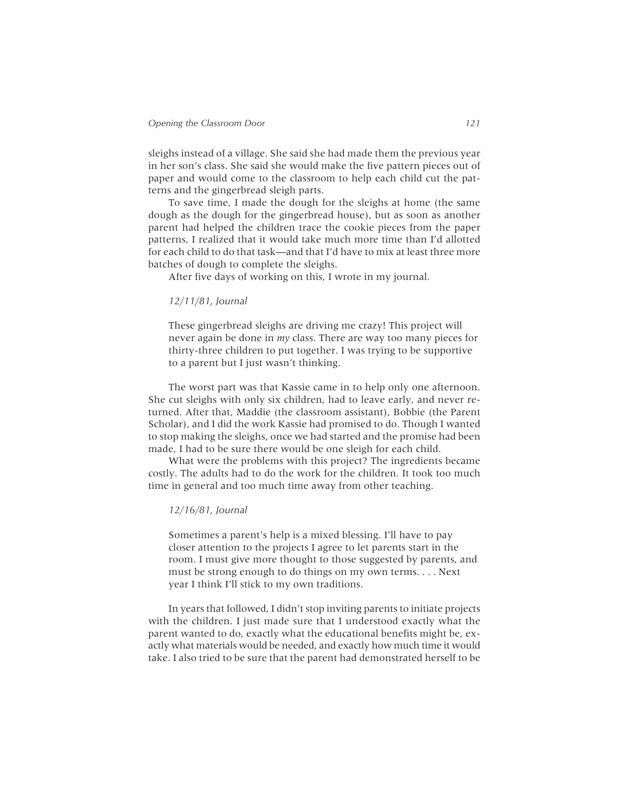sleighs instead of a village. She said she had made them the previous year in her son's class. She said she would make the five pattern pieces out of paper and would come to the classroom to help each child cut the patterns and the gingerbread sleigh parts.

To save time, I made the dough for the sleighs at home (the same dough as the dough for the gingerbread house), but as soon as another parent had helped the children trace the cookie pieces from the paper patterns, I realized that it would take much more time than I'd allotted for each child to do that task—and that I'd have to mix at least three more batches of dough to complete the sleighs.

After five days of working on this, I wrote in my journal.

#### *12/11/81, Journal*

These gingerbread sleighs are driving me crazy! This project will never again be done in *my* class. There are way too many pieces for thirty-three children to put together. I was trying to be supportive to a parent but I just wasn't thinking.

The worst part was that Kassie came in to help only one afternoon. She cut sleighs with only six children, had to leave early, and never returned. After that, Maddie (the classroom assistant), Bobbie (the Parent Scholar), and I did the work Kassie had promised to do. Though I wanted to stop making the sleighs, once we had started and the promise had been made, I had to be sure there would be one sleigh for each child.

What were the problems with this project? The ingredients became costly. The adults had to do the work for the children. It took too much time in general and too much time away from other teaching.

#### *12/16/81, Journal*

Sometimes a parent's help is a mixed blessing. I'll have to pay closer attention to the projects I agree to let parents start in the room. I must give more thought to those suggested by parents, and must be strong enough to do things on my own terms. . . . Next year I think I'll stick to my own traditions.

In years that followed, I didn't stop inviting parents to initiate projects with the children. I just made sure that I understood exactly what the parent wanted to do, exactly what the educational benefits might be, exactly what materials would be needed, and exactly how much time it would take. I also tried to be sure that the parent had demonstrated herself to be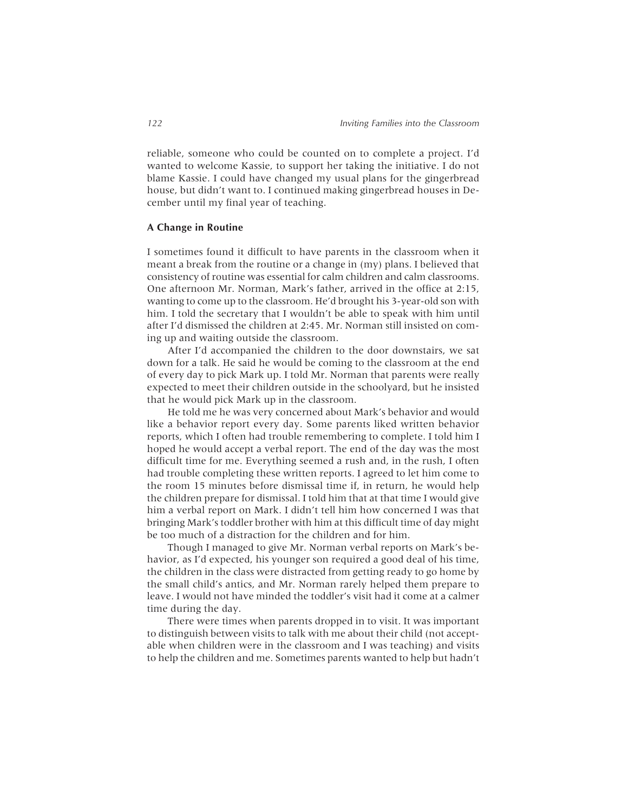reliable, someone who could be counted on to complete a project. I'd wanted to welcome Kassie, to support her taking the initiative. I do not blame Kassie. I could have changed my usual plans for the gingerbread house, but didn't want to. I continued making gingerbread houses in December until my final year of teaching.

### **A Change in Routine**

I sometimes found it difficult to have parents in the classroom when it meant a break from the routine or a change in (my) plans. I believed that consistency of routine was essential for calm children and calm classrooms. One afternoon Mr. Norman, Mark's father, arrived in the office at 2:15, wanting to come up to the classroom. He'd brought his 3-year-old son with him. I told the secretary that I wouldn't be able to speak with him until after I'd dismissed the children at 2:45. Mr. Norman still insisted on coming up and waiting outside the classroom.

After I'd accompanied the children to the door downstairs, we sat down for a talk. He said he would be coming to the classroom at the end of every day to pick Mark up. I told Mr. Norman that parents were really expected to meet their children outside in the schoolyard, but he insisted that he would pick Mark up in the classroom.

He told me he was very concerned about Mark's behavior and would like a behavior report every day. Some parents liked written behavior reports, which I often had trouble remembering to complete. I told him I hoped he would accept a verbal report. The end of the day was the most difficult time for me. Everything seemed a rush and, in the rush, I often had trouble completing these written reports. I agreed to let him come to the room 15 minutes before dismissal time if, in return, he would help the children prepare for dismissal. I told him that at that time I would give him a verbal report on Mark. I didn't tell him how concerned I was that bringing Mark's toddler brother with him at this difficult time of day might be too much of a distraction for the children and for him.

Though I managed to give Mr. Norman verbal reports on Mark's behavior, as I'd expected, his younger son required a good deal of his time, the children in the class were distracted from getting ready to go home by the small child's antics, and Mr. Norman rarely helped them prepare to leave. I would not have minded the toddler's visit had it come at a calmer time during the day.

There were times when parents dropped in to visit. It was important to distinguish between visits to talk with me about their child (not acceptable when children were in the classroom and I was teaching) and visits to help the children and me. Sometimes parents wanted to help but hadn't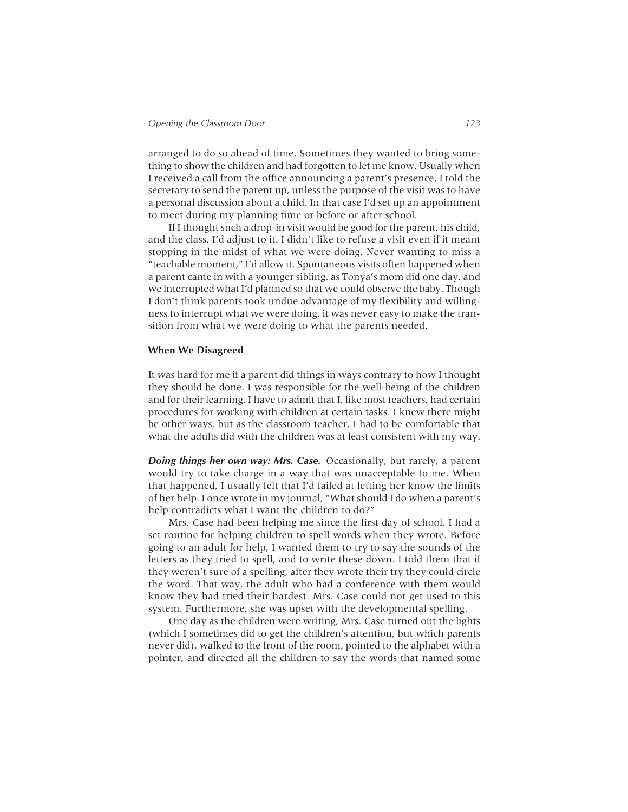arranged to do so ahead of time. Sometimes they wanted to bring something to show the children and had forgotten to let me know. Usually when I received a call from the office announcing a parent's presence, I told the secretary to send the parent up, unless the purpose of the visit was to have a personal discussion about a child. In that case I'd set up an appointment to meet during my planning time or before or after school.

If I thought such a drop-in visit would be good for the parent, his child, and the class, I'd adjust to it. I didn't like to refuse a visit even if it meant stopping in the midst of what we were doing. Never wanting to miss a "teachable moment," I'd allow it. Spontaneous visits often happened when a parent came in with a younger sibling, as Tonya's mom did one day, and we interrupted what I'd planned so that we could observe the baby. Though I don't think parents took undue advantage of my flexibility and willingness to interrupt what we were doing, it was never easy to make the transition from what we were doing to what the parents needed.

#### **When We Disagreed**

It was hard for me if a parent did things in ways contrary to how I thought they should be done. I was responsible for the well-being of the children and for their learning. I have to admit that I, like most teachers, had certain procedures for working with children at certain tasks. I knew there might be other ways, but as the classroom teacher, I had to be comfortable that what the adults did with the children was at least consistent with my way.

*Doing things her own way: Mrs. Case.* Occasionally, but rarely, a parent would try to take charge in a way that was unacceptable to me. When that happened, I usually felt that I'd failed at letting her know the limits of her help. I once wrote in my journal, "What should I do when a parent's help contradicts what I want the children to do?"

Mrs. Case had been helping me since the first day of school. I had a set routine for helping children to spell words when they wrote. Before going to an adult for help, I wanted them to try to say the sounds of the letters as they tried to spell, and to write these down. I told them that if they weren't sure of a spelling, after they wrote their try they could circle the word. That way, the adult who had a conference with them would know they had tried their hardest. Mrs. Case could not get used to this system. Furthermore, she was upset with the developmental spelling.

One day as the children were writing, Mrs. Case turned out the lights (which I sometimes did to get the children's attention, but which parents never did), walked to the front of the room, pointed to the alphabet with a pointer, and directed all the children to say the words that named some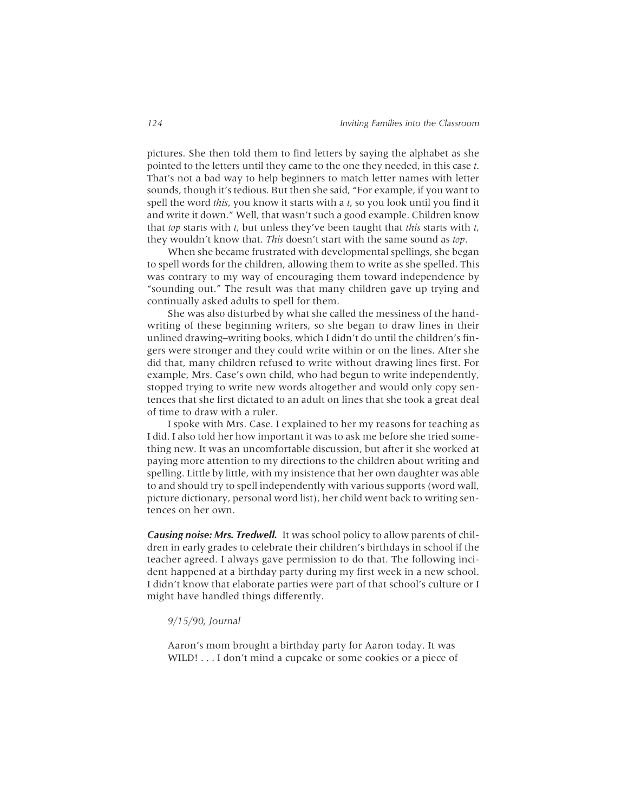pictures. She then told them to find letters by saying the alphabet as she pointed to the letters until they came to the one they needed, in this case *t*. That's not a bad way to help beginners to match letter names with letter sounds, though it's tedious. But then she said, "For example, if you want to spell the word *this*, you know it starts with a *t*, so you look until you find it and write it down." Well, that wasn't such a good example. Children know that *top* starts with *t*, but unless they've been taught that *this* starts with *t*, they wouldn't know that. *This* doesn't start with the same sound as *top*.

When she became frustrated with developmental spellings, she began to spell words for the children, allowing them to write as she spelled. This was contrary to my way of encouraging them toward independence by "sounding out." The result was that many children gave up trying and continually asked adults to spell for them.

She was also disturbed by what she called the messiness of the handwriting of these beginning writers, so she began to draw lines in their unlined drawing–writing books, which I didn't do until the children's fingers were stronger and they could write within or on the lines. After she did that, many children refused to write without drawing lines first. For example, Mrs. Case's own child, who had begun to write independently, stopped trying to write new words altogether and would only copy sentences that she first dictated to an adult on lines that she took a great deal of time to draw with a ruler.

I spoke with Mrs. Case. I explained to her my reasons for teaching as I did. I also told her how important it was to ask me before she tried something new. It was an uncomfortable discussion, but after it she worked at paying more attention to my directions to the children about writing and spelling. Little by little, with my insistence that her own daughter was able to and should try to spell independently with various supports (word wall, picture dictionary, personal word list), her child went back to writing sentences on her own.

*Causing noise: Mrs. Tredwell.* It was school policy to allow parents of children in early grades to celebrate their children's birthdays in school if the teacher agreed. I always gave permission to do that. The following incident happened at a birthday party during my first week in a new school. I didn't know that elaborate parties were part of that school's culture or I might have handled things differently.

# *9/15/90, Journal*

Aaron's mom brought a birthday party for Aaron today. It was WILD! . . . I don't mind a cupcake or some cookies or a piece of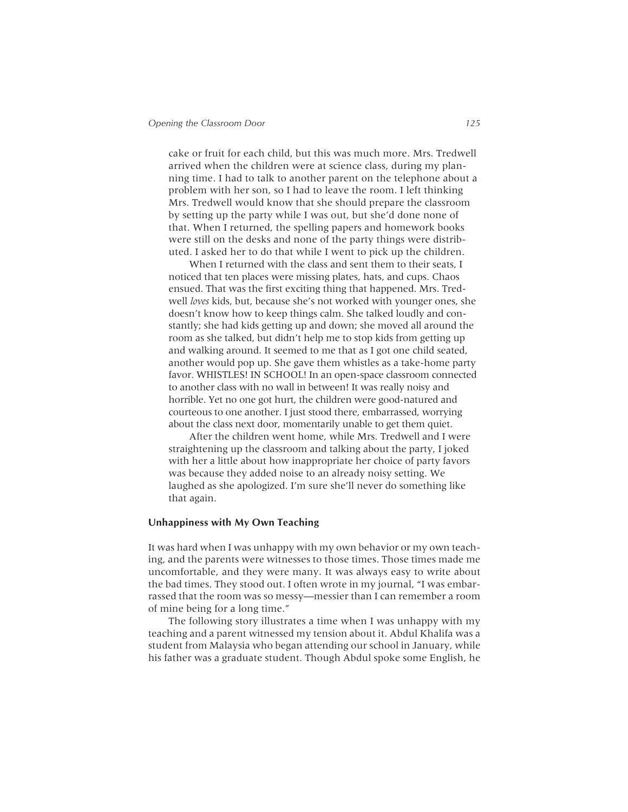cake or fruit for each child, but this was much more. Mrs. Tredwell arrived when the children were at science class, during my planning time. I had to talk to another parent on the telephone about a problem with her son, so I had to leave the room. I left thinking Mrs. Tredwell would know that she should prepare the classroom by setting up the party while I was out, but she'd done none of that. When I returned, the spelling papers and homework books were still on the desks and none of the party things were distributed. I asked her to do that while I went to pick up the children.

When I returned with the class and sent them to their seats, I noticed that ten places were missing plates, hats, and cups. Chaos ensued. That was the first exciting thing that happened. Mrs. Tredwell *loves* kids, but, because she's not worked with younger ones, she doesn't know how to keep things calm. She talked loudly and constantly; she had kids getting up and down; she moved all around the room as she talked, but didn't help me to stop kids from getting up and walking around. It seemed to me that as I got one child seated, another would pop up. She gave them whistles as a take-home party favor. WHISTLES! IN SCHOOL! In an open-space classroom connected to another class with no wall in between! It was really noisy and horrible. Yet no one got hurt, the children were good-natured and courteous to one another. I just stood there, embarrassed, worrying about the class next door, momentarily unable to get them quiet.

After the children went home, while Mrs. Tredwell and I were straightening up the classroom and talking about the party, I joked with her a little about how inappropriate her choice of party favors was because they added noise to an already noisy setting. We laughed as she apologized. I'm sure she'll never do something like that again.

### **Unhappiness with My Own Teaching**

It was hard when I was unhappy with my own behavior or my own teaching, and the parents were witnesses to those times. Those times made me uncomfortable, and they were many. It was always easy to write about the bad times. They stood out. I often wrote in my journal, "I was embarrassed that the room was so messy—messier than I can remember a room of mine being for a long time."

The following story illustrates a time when I was unhappy with my teaching and a parent witnessed my tension about it. Abdul Khalifa was a student from Malaysia who began attending our school in January, while his father was a graduate student. Though Abdul spoke some English, he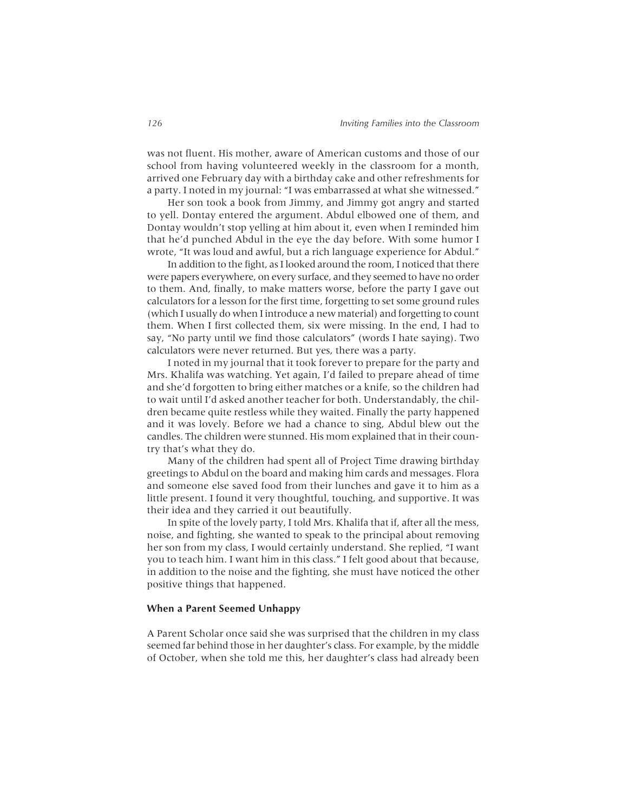was not fluent. His mother, aware of American customs and those of our school from having volunteered weekly in the classroom for a month, arrived one February day with a birthday cake and other refreshments for a party. I noted in my journal: "I was embarrassed at what she witnessed."

Her son took a book from Jimmy, and Jimmy got angry and started to yell. Dontay entered the argument. Abdul elbowed one of them, and Dontay wouldn't stop yelling at him about it, even when I reminded him that he'd punched Abdul in the eye the day before. With some humor I wrote, "It was loud and awful, but a rich language experience for Abdul."

In addition to the fight, as I looked around the room, I noticed that there were papers everywhere, on every surface, and they seemed to have no order to them. And, finally, to make matters worse, before the party I gave out calculators for a lesson for the first time, forgetting to set some ground rules (which I usually do when I introduce a new material) and forgetting to count them. When I first collected them, six were missing. In the end, I had to say, "No party until we find those calculators" (words I hate saying). Two calculators were never returned. But yes, there was a party.

I noted in my journal that it took forever to prepare for the party and Mrs. Khalifa was watching. Yet again, I'd failed to prepare ahead of time and she'd forgotten to bring either matches or a knife, so the children had to wait until I'd asked another teacher for both. Understandably, the children became quite restless while they waited. Finally the party happened and it was lovely. Before we had a chance to sing, Abdul blew out the candles. The children were stunned. His mom explained that in their country that's what they do.

Many of the children had spent all of Project Time drawing birthday greetings to Abdul on the board and making him cards and messages. Flora and someone else saved food from their lunches and gave it to him as a little present. I found it very thoughtful, touching, and supportive. It was their idea and they carried it out beautifully.

In spite of the lovely party, I told Mrs. Khalifa that if, after all the mess, noise, and fighting, she wanted to speak to the principal about removing her son from my class, I would certainly understand. She replied, "I want you to teach him. I want him in this class." I felt good about that because, in addition to the noise and the fighting, she must have noticed the other positive things that happened.

#### **When a Parent Seemed Unhappy**

A Parent Scholar once said she was surprised that the children in my class seemed far behind those in her daughter's class. For example, by the middle of October, when she told me this, her daughter's class had already been